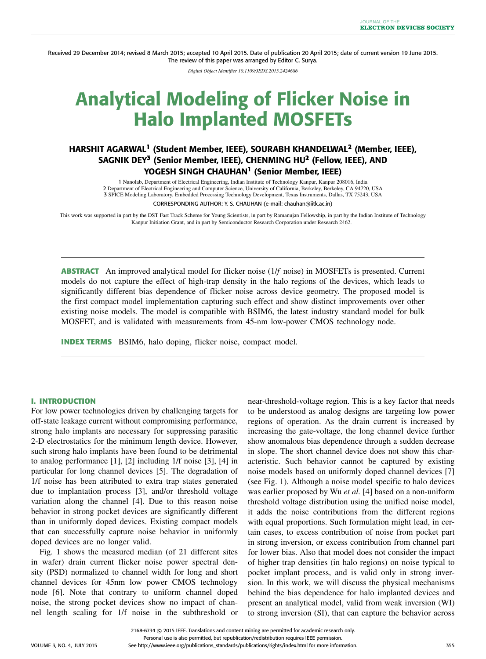Received 29 December 2014; revised 8 March 2015; accepted 10 April 2015. Date of publication 20 April 2015; date of current version 19 June 2015. The review of this paper was arranged by Editor C. Surya.

*Digital Object Identifier 10.1109/JEDS.2015.2424686*

# Analytical Modeling of Flicker Noise in Halo Implanted MOSFETs

## HARSHIT AGARWAL**<sup>1</sup>** (Student Member, IEEE), SOURABH KHANDELWAL**<sup>2</sup>** (Member, IEEE), SAGNIK DEY**<sup>3</sup>** (Senior Member, IEEE), CHENMING HU**<sup>2</sup>** (Fellow, IEEE), AND YOGESH SINGH CHAUHAN**<sup>1</sup>** (Senior Member, IEEE)

 Nanolab, Department of Electrical Engineering, Indian Institute of Technology Kanpur, Kanpur 208016, India Department of Electrical Engineering and Computer Science, University of California, Berkeley, Berkeley, CA 94720, USA SPICE Modeling Laboratory, Embedded Processing Technology Development, Texas Instruments, Dallas, TX 75243, USA CORRESPONDING AUTHOR: Y. S. CHAUHAN (e-mail: chauhan@iitk.ac.in)

This work was supported in part by the DST Fast Track Scheme for Young Scientists, in part by Ramanujan Fellowship, in part by the Indian Institute of Technology Kanpur Initiation Grant, and in part by Semiconductor Research Corporation under Research 2462.

**ABSTRACT** An improved analytical model for flicker noise (1/*f* noise) in MOSFETs is presented. Current models do not capture the effect of high-trap density in the halo regions of the devices, which leads to significantly different bias dependence of flicker noise across device geometry. The proposed model is the first compact model implementation capturing such effect and show distinct improvements over other existing noise models. The model is compatible with BSIM6, the latest industry standard model for bulk MOSFET, and is validated with measurements from 45-nm low-power CMOS technology node.

**INDEX TERMS** BSIM6, halo doping, flicker noise, compact model.

#### **I. INTRODUCTION**

For low power technologies driven by challenging targets for off-state leakage current without compromising performance, strong halo implants are necessary for suppressing parasitic 2-D electrostatics for the minimum length device. However, such strong halo implants have been found to be detrimental to analog performance [1], [2] including 1/f noise [3], [4] in particular for long channel devices [5]. The degradation of 1/f noise has been attributed to extra trap states generated due to implantation process [3], and/or threshold voltage variation along the channel [4]. Due to this reason noise behavior in strong pocket devices are significantly different than in uniformly doped devices. Existing compact models that can successfully capture noise behavior in uniformly doped devices are no longer valid.

Fig. 1 shows the measured median (of 21 different sites in wafer) drain current flicker noise power spectral density (PSD) normalized to channel width for long and short channel devices for 45nm low power CMOS technology node [6]. Note that contrary to uniform channel doped noise, the strong pocket devices show no impact of channel length scaling for 1/f noise in the subthreshold or near-threshold-voltage region. This is a key factor that needs to be understood as analog designs are targeting low power regions of operation. As the drain current is increased by increasing the gate-voltage, the long channel device further show anomalous bias dependence through a sudden decrease in slope. The short channel device does not show this characteristic. Such behavior cannot be captured by existing noise models based on uniformly doped channel devices [7] (see Fig. 1). Although a noise model specific to halo devices was earlier proposed by Wu *et al.* [4] based on a non-uniform threshold voltage distribution using the unified noise model, it adds the noise contributions from the different regions with equal proportions. Such formulation might lead, in certain cases, to excess contribution of noise from pocket part in strong inversion, or excess contribution from channel part for lower bias. Also that model does not consider the impact of higher trap densities (in halo regions) on noise typical to pocket implant process, and is valid only in strong inversion. In this work, we will discuss the physical mechanisms behind the bias dependence for halo implanted devices and present an analytical model, valid from weak inversion (WI) to strong inversion (SI), that can capture the behavior across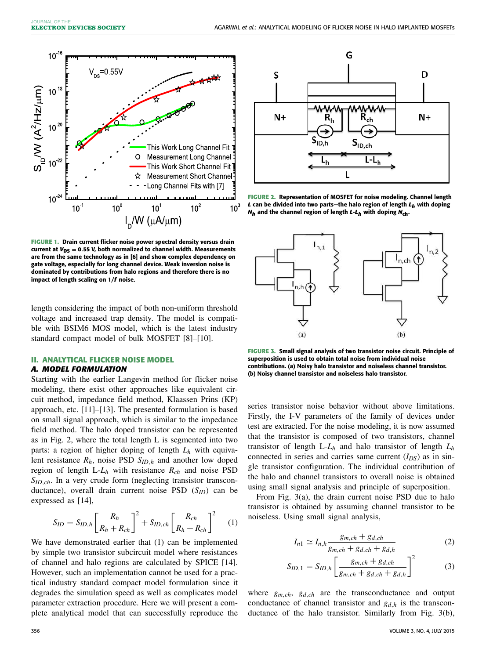

**FIGURE 1.** Drain current flicker noise power spectral density versus drain current at  $V_{DS} = 0.55$  V, both normalized to channel width. Measurements are from the same technology as in [6] and show complex dependency on gate voltage, especially for long channel device. Weak inversion noise is dominated by contributions from halo regions and therefore there is no impact of length scaling on 1/*f* noise.

length considering the impact of both non-uniform threshold voltage and increased trap density. The model is compatible with BSIM6 MOS model, which is the latest industry standard compact model of bulk MOSFET [8]–[10].

#### **II. ANALYTICAL FLICKER NOISE MODEL**

#### *A. MODEL FORMULATION*

Starting with the earlier Langevin method for flicker noise modeling, there exist other approaches like equivalent circuit method, impedance field method, Klaassen Prins (KP) approach, etc. [11]–[13]. The presented formulation is based on small signal approach, which is similar to the impedance field method. The halo doped transistor can be represented as in Fig. 2, where the total length L is segmented into two parts: a region of higher doping of length *L<sup>h</sup>* with equivalent resistance *Rh*, noise PSD *SID*,*<sup>h</sup>* and another low doped region of length L-*L<sup>h</sup>* with resistance *Rch* and noise PSD *SID*,*ch*. In a very crude form (neglecting transistor transconductance), overall drain current noise PSD (*SID*) can be expressed as [14],

$$
S_{ID} = S_{ID,h} \left[ \frac{R_h}{R_h + R_{ch}} \right]^2 + S_{ID,ch} \left[ \frac{R_{ch}}{R_h + R_{ch}} \right]^2 \tag{1}
$$

We have demonstrated earlier that (1) can be implemented by simple two transistor subcircuit model where resistances of channel and halo regions are calculated by SPICE [14]. However, such an implementation cannot be used for a practical industry standard compact model formulation since it degrades the simulation speed as well as complicates model parameter extraction procedure. Here we will present a complete analytical model that can successfully reproduce the



**FIGURE 2.** Representation of MOSFET for noise modeling. Channel length *L* can be divided into two parts—the halo region of length *L<sup>h</sup>* with doping *Nh* and the channel region of length *L*-*L<sup>h</sup>* with doping *N***ch**.



**FIGURE 3.** Small signal analysis of two transistor noise circuit. Principle of superposition is used to obtain total noise from individual noise contributions. (a) Noisy halo transistor and noiseless channel transistor. (b) Noisy channel transistor and noiseless halo transistor.

series transistor noise behavior without above limitations. Firstly, the I-V parameters of the family of devices under test are extracted. For the noise modeling, it is now assumed that the transistor is composed of two transistors, channel transistor of length  $L-L_h$  and halo transistor of length  $L_h$ connected in series and carries same current  $(I_{DS})$  as in single transistor configuration. The individual contribution of the halo and channel transistors to overall noise is obtained using small signal analysis and principle of superposition.

From Fig. 3(a), the drain current noise PSD due to halo transistor is obtained by assuming channel transistor to be noiseless. Using small signal analysis,

$$
I_{n1} \simeq I_{n,h} \frac{g_{m,ch} + g_{d,ch}}{g_{m,ch} + g_{d,ch} + g_{d,h}}
$$
 (2)

$$
S_{ID,1} = S_{ID,h} \left[ \frac{g_{m,ch} + g_{d,ch}}{g_{m,ch} + g_{d,ch} + g_{d,h}} \right]^2
$$
 (3)

where *gm*,*ch*, *gd*,*ch* are the transconductance and output conductance of channel transistor and *gd*,*<sup>h</sup>* is the transconductance of the halo transistor. Similarly from Fig. 3(b),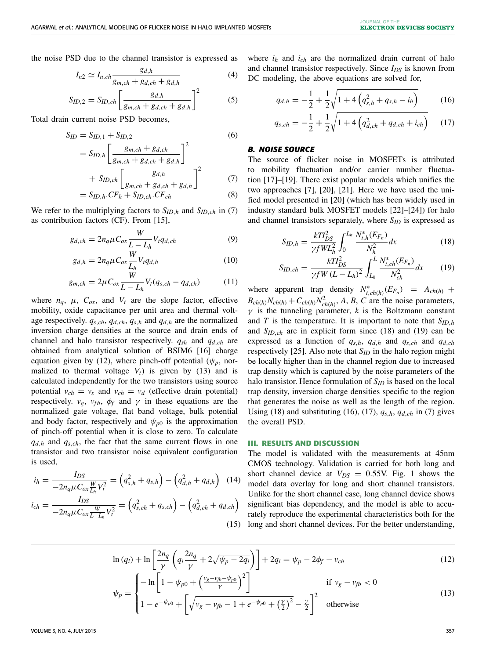the noise PSD due to the channel transistor is expressed as

$$
I_{n2} \simeq I_{n,ch} \frac{g_{d,h}}{g_{m,ch} + g_{d,ch} + g_{d,h}}
$$
(4)

$$
S_{ID,2} = S_{ID,ch} \left[ \frac{g_{d,h}}{g_{m,ch} + g_{d,ch} + g_{d,h}} \right]^2
$$
 (5)

Total drain current noise PSD becomes,

$$
S_{ID} = S_{ID,1} + S_{ID,2}
$$
 (6)

$$
= S_{ID,h} \left[ \frac{g_{m,ch} + g_{d,ch}}{g_{m,ch} + g_{d,ch} + g_{d,h}} \right]^2
$$

$$
+ S_{ID,ch} \left[ \frac{g_{d,h}}{g_{m,ch} + g_{d,ch} + g_{d,h}} \right]^2 \tag{7}
$$

$$
= S_{ID,h}.CF_h + S_{ID,ch}.CF_{ch}
$$
\n(8)

We refer to the multiplying factors to  $S_{ID,h}$  and  $S_{ID,ch}$  in (7) as contribution factors (CF). From [15],

$$
g_{d,ch} = 2n_q \mu C_{ox} \frac{W}{L - L_h} V_t q_{d,ch}
$$
\n<sup>(9)</sup>

$$
g_{d,h} = 2n_q \mu C_{ox} \frac{W}{L_h} V_t q_{d,h}
$$
\n<sup>(10)</sup>

$$
g_{m,ch} = 2\mu C_{ox} \frac{W}{L - L_h} V_t(q_{s,ch} - q_{d,ch})
$$
 (11)

where  $n_a$ ,  $\mu$ ,  $C_{ox}$ , and  $V_t$  are the slope factor, effective mobility, oxide capacitance per unit area and thermal voltage respectively.  $q_{s,ch}$ ,  $q_{d,ch}$ ,  $q_{s,h}$  and  $q_{d,h}$  are the normalized inversion charge densities at the source and drain ends of channel and halo transistor respectively. *qsh* and *qd*,*ch* are obtained from analytical solution of BSIM6 [16] charge equation given by (12), where pinch-off potential ( $\psi_p$ , normalized to thermal voltage  $V_t$ ) is given by (13) and is calculated independently for the two transistors using source potential  $v_{ch} = v_s$  and  $v_{ch} = v_d$  (effective drain potential) respectively.  $v_g$ ,  $v_{fb}$ ,  $\phi_f$  and  $\gamma$  in these equations are the normalized gate voltage, flat band voltage, bulk potential and body factor, respectively and  $\psi_{p0}$  is the approximation of pinch-off potential when it is close to zero. To calculate  $q_{d,h}$  and  $q_{s,ch}$ , the fact that the same current flows in one transistor and two transistor noise equivalent configuration is used,

$$
i_h = \frac{I_{DS}}{-2n_q\mu C_{ox}\frac{W}{L_h}V_t^2} = (q_{s,h}^2 + q_{s,h}) - (q_{d,h}^2 + q_{d,h}) \quad (14)
$$
  

$$
i_{ch} = \frac{I_{DS}}{-2n_q\mu C_{ox}\frac{W}{L-L_h}V_t^2} = (q_{s,ch}^2 + q_{s,ch}) - (q_{d,ch}^2 + q_{d,ch}) \quad (15)
$$

where  $i_h$  and  $i_{ch}$  are the normalized drain current of halo and channel transistor respectively. Since *IDS* is known from DC modeling, the above equations are solved for,

$$
q_{d,h} = -\frac{1}{2} + \frac{1}{2}\sqrt{1 + 4\left(q_{s,h}^2 + q_{s,h} - i_h\right)}\tag{16}
$$

$$
q_{s,ch} = -\frac{1}{2} + \frac{1}{2}\sqrt{1 + 4\left(q_{d,ch}^2 + q_{d,ch} + i_{ch}\right)}\tag{17}
$$

### *B. NOISE SOURCE*

The source of flicker noise in MOSFETs is attributed to mobility fluctuation and/or carrier number fluctuation [17]–[19]. There exist popular models which unifies the two approaches [7], [20], [21]. Here we have used the unified model presented in [20] (which has been widely used in industry standard bulk MOSFET models [22]–[24]) for halo and channel transistors separately, where *SID* is expressed as

$$
S_{ID,h} = \frac{kT l_{DS}^2}{\gamma f W L_h^2} \int_0^{L_h} \frac{N_{i,h}^*(E_{F_n})}{N_h^2} dx
$$
 (18)

$$
S_{ID,ch} = \frac{kTI_{DS}^2}{\gamma f W (L - L_h)^2} \int_{L_h}^{L} \frac{N_{t,ch}^*(E_{F_n})}{N_{ch}^2} dx
$$
 (19)

where apparent trap density  $N_{t, ch(h)}^*$  ( $E_{F_n}$ ) =  $A_{ch(h)}$  +  $B_{ch(h)}N_{ch(h)} + C_{ch(h)}N_{ch}^2$  $c_{ch(h)}^2$ , *A*, *B*, *C* are the noise parameters,  $\gamma$  is the tunneling parameter, *k* is the Boltzmann constant and *T* is the temperature. It is important to note that  $S_{ID,h}$ and *SID*,*ch* are in explicit form since (18) and (19) can be expressed as a function of  $q_{s,h}$ ,  $q_{d,h}$  and  $q_{s,ch}$  and  $q_{d,ch}$ respectively [25]. Also note that  $S_{ID}$  in the halo region might be locally higher than in the channel region due to increased trap density which is captured by the noise parameters of the halo transistor. Hence formulation of *SID* is based on the local trap density, inversion charge densities specific to the region that generates the noise as well as the length of the region. Using (18) and substituting (16), (17),  $q_{s,h}$ ,  $q_{d,ch}$  in (7) gives the overall PSD.

#### **III. RESULTS AND DISCUSSION**

(15) long and short channel devices. For the better understanding, The model is validated with the measurements at 45nm CMOS technology. Validation is carried for both long and short channel device at  $V_{DS} = 0.55V$ . Fig. 1 shows the model data overlay for long and short channel transistors. Unlike for the short channel case, long channel device shows significant bias dependency, and the model is able to accurately reproduce the experimental characteristics both for the

$$
\ln (q_i) + \ln \left[ \frac{2n_q}{\gamma} \left( q_i \frac{2n_q}{\gamma} + 2\sqrt{\psi_p - 2q_i} \right) \right] + 2q_i = \psi_p - 2\phi_f - v_{ch}
$$
\n
$$
\left[ -\ln \left[ 1 - \psi_{c0} + \left( \frac{v_g - v_{fb} - \psi_{p0}}{2} \right)^2 \right] \right] \quad \text{if } v_s = v_a < 0
$$
\n(12)

$$
\psi_p = \begin{cases}\n-\ln\left[1 - \psi_{p0} + \left(\frac{v_g - v_{fp} - \psi_{p0}}{\gamma}\right)^2\right] & \text{if } v_g - v_{fb} < 0 \\
1 - e^{-\psi_{p0}} + \left[\sqrt{v_g - v_{fb} - 1 + e^{-\psi_{p0}} + \left(\frac{\gamma}{2}\right)^2} - \frac{\gamma}{2}\right]^2 & \text{otherwise}\n\end{cases}\n\tag{13}
$$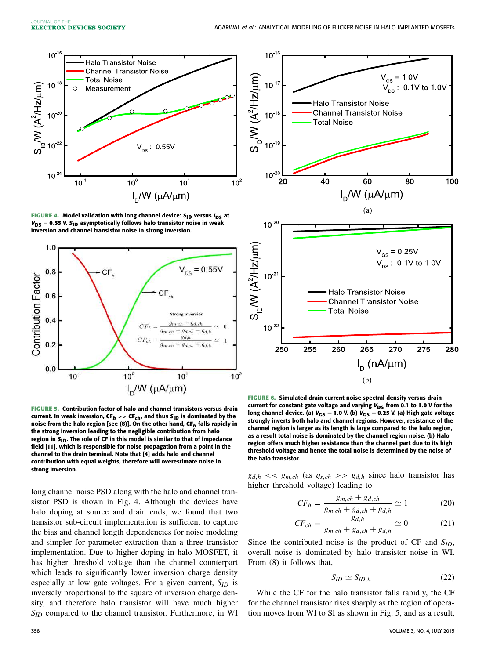

FIGURE 4. Model validation with long channel device: S<sub>ID</sub> versus  $I_{DS}$  at  $V_{DS} = 0.55$  V.  $S_{ID}$  asymptotically follows halo transistor noise in weak inversion and channel transistor noise in strong inversion.



**FIGURE 5.** Contribution factor of halo and channel transistors versus drain current. In weak inversion,  $CF_h \rightarrow CF_{ch}$ , and thus  $S_{ID}$  is dominated by the noise from the halo region [see (8)]. On the other hand, **CF***<sup>h</sup>* falls rapidly in the strong inversion leading to the negligible contribution from halo region in S<sub>ID</sub>. The role of CF in this model is similar to that of impedance field [11], which is responsible for noise propagation from a point in the channel to the drain terminal. Note that [4] adds halo and channel contribution with equal weights, therefore will overestimate noise in strong inversion.

long channel noise PSD along with the halo and channel transistor PSD is shown in Fig. 4. Although the devices have halo doping at source and drain ends, we found that two transistor sub-circuit implementation is sufficient to capture the bias and channel length dependencies for noise modeling and simpler for parameter extraction than a three transistor implementation. Due to higher doping in halo MOSFET, it has higher threshold voltage than the channel counterpart which leads to significantly lower inversion charge density especially at low gate voltages. For a given current, *SID* is inversely proportional to the square of inversion charge density, and therefore halo transistor will have much higher *SID* compared to the channel transistor. Furthermore, in WI



**FIGURE 6.** Simulated drain current noise spectral density versus drain current for constant gate voltage and varying  $V_{DS}$  from 0.1 to 1.0 V for the long channel device. (a)  $V_{GS} = 1.0$  V. (b)  $V_{GS} = 0.25$  V. (a) High gate voltage strongly inverts both halo and channel regions. However, resistance of the channel region is larger as its length is large compared to the halo region, as a result total noise is dominated by the channel region noise. (b) Halo region offers much higher resistance than the channel part due to its high threshold voltage and hence the total noise is determined by the noise of the halo transistor.

 $g_{d,h} \ll g_{m,ch}$  (as  $q_{s,ch} \gg g_{d,h}$  since halo transistor has higher threshold voltage) leading to

$$
CF_h = \frac{g_{m,ch} + g_{d,ch}}{g_{m,ch} + g_{d,ch} + g_{d,h}} \simeq 1
$$
 (20)

$$
CF_{ch} = \frac{g_{d,h}}{g_{m,ch} + g_{d,ch} + g_{d,h}} \simeq 0 \tag{21}
$$

Since the contributed noise is the product of CF and *SID*, overall noise is dominated by halo transistor noise in WI. From (8) it follows that,

$$
S_{ID} \simeq S_{ID,h} \tag{22}
$$

While the CF for the halo transistor falls rapidly, the CF for the channel transistor rises sharply as the region of operation moves from WI to SI as shown in Fig. 5, and as a result,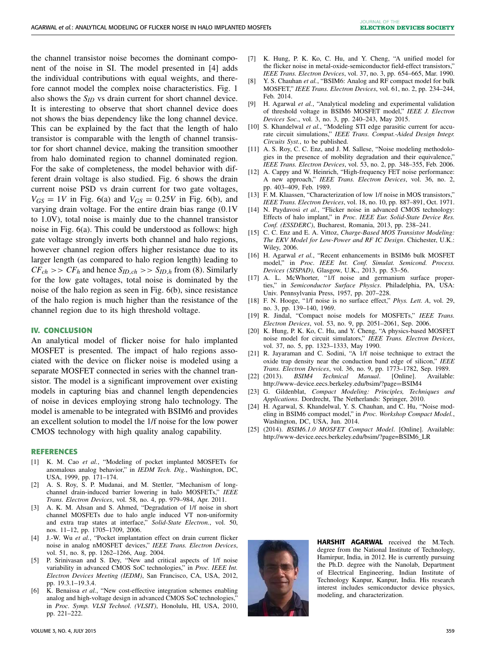the channel transistor noise becomes the dominant component of the noise in SI. The model presented in [4] adds the individual contributions with equal weights, and therefore cannot model the complex noise characteristics. Fig. 1 also shows the  $S_{ID}$  vs drain current for short channel device. It is interesting to observe that short channel device does not shows the bias dependency like the long channel device. This can be explained by the fact that the length of halo transistor is comparable with the length of channel transistor for short channel device, making the transition smoother from halo dominated region to channel dominated region. For the sake of completeness, the model behavior with different drain voltage is also studied. Fig. 6 shows the drain current noise PSD vs drain current for two gate voltages,  $V_{GS} = 1V$  in Fig. 6(a) and  $V_{GS} = 0.25V$  in Fig. 6(b), and varying drain voltage. For the entire drain bias range (0.1V to 1.0V), total noise is mainly due to the channel transistor noise in Fig. 6(a). This could be understood as follows: high gate voltage strongly inverts both channel and halo regions, however channel region offers higher resistance due to its larger length (as compared to halo region length) leading to  $CF_{ch}$  >>  $CF_{h}$  and hence  $S_{ID, ch}$  >>  $S_{ID, h}$  from (8). Similarly for the low gate voltages, total noise is dominated by the noise of the halo region as seen in Fig. 6(b), since resistance of the halo region is much higher than the resistance of the channel region due to its high threshold voltage.

#### **IV. CONCLUSION**

An analytical model of flicker noise for halo implanted MOSFET is presented. The impact of halo regions associated with the device on flicker noise is modeled using a separate MOSFET connected in series with the channel transistor. The model is a significant improvement over existing models in capturing bias and channel length dependencies of noise in devices employing strong halo technology. The model is amenable to be integrated with BSIM6 and provides an excellent solution to model the 1/f noise for the low power CMOS technology with high quality analog capability.

#### **REFERENCES**

- [1] K. M. Cao *et al.*, "Modeling of pocket implanted MOSFETs for anomalous analog behavior," in *IEDM Tech. Dig.*, Washington, DC, USA, 1999, pp. 171–174.
- A. S. Roy, S. P. Mudanai, and M. Stettler, "Mechanism of longchannel drain-induced barrier lowering in halo MOSFETs," *IEEE Trans. Electron Devices*, vol. 58, no. 4, pp. 979–984, Apr. 2011.
- [3] A. K. M. Ahsan and S. Ahmed, "Degradation of 1/f noise in short channel MOSFETs due to halo angle induced VT non-uniformity and extra trap states at interface," *Solid-State Electron.*, vol. 50, nos. 11–12, pp. 1705–1709, 2006.
- [4] J.-W. Wu *et al.*, "Pocket implantation effect on drain current flicker noise in analog nMOSFET devices," *IEEE Trans. Electron Devices*, vol. 51, no. 8, pp. 1262–1266, Aug. 2004.
- [5] P. Srinivasan and S. Dey, "New and critical aspects of 1/f noise variability in advanced CMOS SoC technologies," in *Proc. IEEE Int. Electron Devices Meeting (IEDM)*, San Francisco, CA, USA, 2012, pp. 19.3.1–19.3.4.
- [6] K. Benaissa *et al.*, "New cost-effective integration schemes enabling analog and high-voltage design in advanced CMOS SoC technologies," in *Proc. Symp. VLSI Technol. (VLSIT)*, Honolulu, HI, USA, 2010, pp. 221-222.
- [7] K. Hung, P. K. Ko, C. Hu, and Y. Cheng, "A unified model for the flicker noise in metal-oxide-semiconductor field-effect transistors,' *IEEE Trans. Electron Devices*, vol. 37, no. 3, pp. 654–665, Mar. 1990.
- [8] Y. S. Chauhan *et al.*, "BSIM6: Analog and RF compact model for bulk MOSFET," *IEEE Trans. Electron Devices*, vol. 61, no. 2, pp. 234–244, Feb. 2014.
- [9] H. Agarwal *et al.*, "Analytical modeling and experimental validation of threshold voltage in BSIM6 MOSFET model," *IEEE J. Electron Devices Soc.*, vol. 3, no. 3, pp. 240–243, May 2015.
- [10] S. Khandelwal et al., "Modeling STI edge parasitic current for accurate circuit simulations," *IEEE Trans. Comput.-Aided Design Integr. Circuits Syst.*, to be published.
- [11] A. S. Roy, C. C. Enz, and J. M. Sallese, "Noise modeling methodologies in the presence of mobility degradation and their equivalence," *IEEE Trans. Electron Devices*, vol. 53, no. 2, pp. 348–355, Feb. 2006.
- [12] A. Cappy and W. Heinrich, "High-frequency FET noise performance: A new approach," *IEEE Trans. Electron Devices*, vol. 36, no. 2, pp. 403–409, Feb. 1989.
- [13] F. M. Klaassen, "Characterization of low 1/f noise in MOS transistors," *IEEE Trans. Electron Devices*, vol. 18, no. 10, pp. 887–891, Oct. 1971.
- [14] N. Paydavosi et al., "Flicker noise in advanced CMOS technology: Effects of halo implant," in *Proc. IEEE Eur. Solid-State Device Res. Conf. (ESSDERC)*, Bucharest, Romania, 2013, pp. 238–241.
- [15] C. C. Enz and E. A. Vittoz, *Charge-Based MOS Transistor Modeling: The EKV Model for Low-Power and RF IC Design*. Chichester, U.K.: Wiley, 2006.
- [16] H. Agarwal *et al.*, "Recent enhancements in BSIM6 bulk MOSFET model," in *Proc. IEEE Int. Conf. Simulat. Semicond. Process. Devices (SISPAD)*, Glasgow, U.K., 2013, pp. 53–56.
- [17] A. L. McWhorter, "1/f noise and germanium surface properties," in *Semiconductor Surface Physics*. Philadelphia, PA, USA: Univ. Pennsylvania Press, 1957, pp. 207–228.
- [18] F. N. Hooge, "1/f noise is no surface effect," *Phys. Lett. A*, vol. 29, no. 3, pp. 139–140, 1969.
- [19] R. Jindal, "Compact noise models for MOSFETs," *IEEE Trans. Electron Devices*, vol. 53, no. 9, pp. 2051–2061, Sep. 2006.
- [20] K. Hung, P. K. Ko, C. Hu, and Y. Cheng, "A physics-based MOSFET noise model for circuit simulators," *IEEE Trans. Electron Devices*, vol. 37, no. 5, pp. 1323–1333, May 1990.
- [21] R. Jayaraman and C. Sodini, "A 1/f noise technique to extract the oxide trap density near the conduction band edge of silicon," *IEEE Trans. Electron Devices*, vol. 36, no. 9, pp. 1773–1782, Sep. 1989.
- [22] (2013). *BSIM4 Technical Manual*. [Online]. Available: http://www-device.eecs.berkeley.edu/bsim/?page=BSIM4
- [23] G. Gildenblat, *Compact Modeling: Principles, Techniques and Applications*. Dordrecht, The Netherlands: Springer, 2010.
- [24] H. Agarwal, S. Khandelwal, Y. S. Chauhan, and C. Hu, "Noise modeling in BSIM6 compact model," in *Proc. Workshop Compact Model.*, Washington, DC, USA, Jun. 2014.
- [25] (2014). *BSIM6.1.0 MOSFET Compact Model*. [Online]. Available: http://www-device.eecs.berkeley.edu/bsim/?page=BSIM6\_LR



HARSHIT AGARWAL received the M.Tech. degree from the National Institute of Technology, Hamirpur, India, in 2012. He is currently pursuing the Ph.D. degree with the Nanolab, Department of Electrical Engineering, Indian Institute of Technology Kanpur, Kanpur, India. His research interest includes semiconductor device physics, modeling, and characterization.